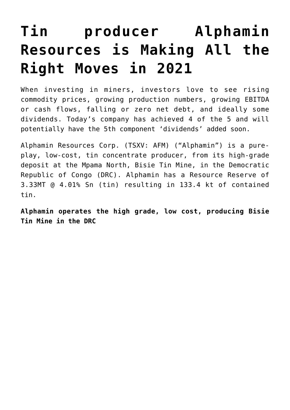# **[Tin producer Alphamin](https://investorintel.com/markets/technology-metals/technology-metals-intel/tin-producer-alphamin-resources-is-making-all-the-right-moves-in-2021/) [Resources is Making All the](https://investorintel.com/markets/technology-metals/technology-metals-intel/tin-producer-alphamin-resources-is-making-all-the-right-moves-in-2021/) [Right Moves in 2021](https://investorintel.com/markets/technology-metals/technology-metals-intel/tin-producer-alphamin-resources-is-making-all-the-right-moves-in-2021/)**

When investing in miners, investors love to see rising commodity prices, growing production numbers, growing EBITDA or cash flows, falling or zero net debt, and ideally some dividends. Today's company has achieved 4 of the 5 and will potentially have the 5th component 'dividends' added soon.

[Alphamin Resources Corp.](https://alphaminresources.com/) (TSXV: AFM) ("Alphamin") is a pureplay, low-cost, tin concentrate producer, from its high-grade deposit at the Mpama North, Bisie Tin Mine, in the Democratic Republic of Congo (DRC). Alphamin has a [Resource Reserve](https://alphaminresources.com/wp-content/uploads/2021/08/Aug-2021_Master.pdf) of 3.33MT @ 4.01% Sn (tin) resulting in 133.4 kt of contained tin.

**Alphamin operates the high grade, low cost, producing Bisie Tin Mine in the DRC**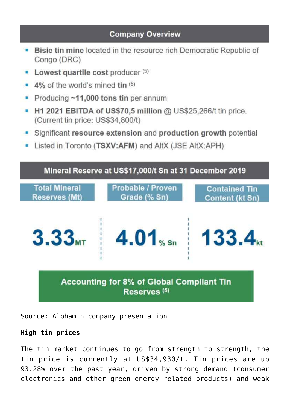# **Company Overview**

- **Bisie tin mine located in the resource rich Democratic Republic of** Congo (DRC)
- Lowest quartile cost producer (5)
- 4% of the world's mined tin (5)
- Producing ~11,000 tons tin per annum
- H1 2021 EBITDA of US\$70,5 million @ US\$25,266/t tin price. (Current tin price: US\$34,800/t)
- Significant resource extension and production growth potential
- Listed in Toronto (TSXV:AFM) and AltX (JSE AltX:APH)



Source: [Alphamin company presentation](https://alphaminresources.com/wp-content/uploads/2021/08/Aug-2021_Master.pdf)

### **High tin prices**

The tin market continues to go from strength to strength, the tin price is currently at [US\\$34,930/t](https://tradingeconomics.com/commodity/tin). Tin prices are up [93.28%](https://tradingeconomics.com/commodity/tin) over the past year, driven by strong demand (consumer electronics and other green energy related products) and weak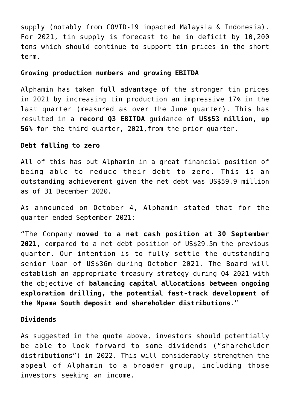supply (notably from COVID-19 impacted Malaysia & Indonesia). For 2021, tin supply is forecast to be in deficit by [10,200](https://www.mining.com/web/home-forgotten-tin-tops-energy-transition-metals-leader-board/) tons which should continue to support tin prices in the short term.

#### **Growing production numbers and growing EBITDA**

Alphamin has taken full advantage of the stronger tin prices in 2021 by increasing tin production an impressive 17% in the last quarter (measured as over the June quarter). This has resulted in a **[record Q3 EBITDA](https://investorintel.com/markets/technology-metals/technology-metals-news/alphamin-announces-record-q3-2021-ebitda-guidance-of-us53m-and-a-net-debt-free-position-production-and-exploration-update/)** guidance of **US\$53 million**, **up 56%** for the third quarter, 2021,from the prior quarter.

#### **Debt falling to zero**

All of this has put Alphamin in a great financial position of being able to reduce their debt to zero. This is an outstanding achievement given the net debt was [US\\$59.9 million](https://investorintel.com/markets/technology-metals/technology-metals-news/alphamin-announces-q2-2021-ebitda-of-us34-1m-at-a-tin-price-of-us28308-t-current-us34700-t/) as of 31 December 2020.

As announced on October 4, Alphamin [stated](https://investorintel.com/markets/technology-metals/technology-metals-news/alphamin-announces-record-q3-2021-ebitda-guidance-of-us53m-and-a-net-debt-free-position-production-and-exploration-update/) that for the quarter ended September 2021:

"The Company **moved to a net cash position at 30 September 2021,** compared to a net debt position of US\$29.5m the previous quarter. Our intention is to fully settle the outstanding senior loan of US\$36m during October 2021. The Board will establish an appropriate treasury strategy during Q4 2021 with the objective of **balancing capital allocations between ongoing exploration drilling, the potential fast-track development of the Mpama South deposit and shareholder distributions**."

#### **Dividends**

As suggested in the quote above, investors should potentially be able to look forward to some dividends ("shareholder distributions") in 2022. This will considerably strengthen the appeal of Alphamin to a broader group, including those investors seeking an income.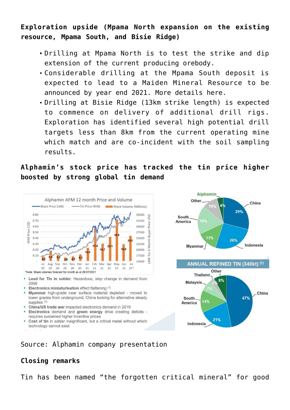**Exploration upside (Mpama North expansion on the existing resource, Mpama South, and Bisie Ridge)**

- Drilling at Mpama North is to test the strike and dip extension of the current producing orebody.
- Considerable drilling at the Mpama South deposit is expected to lead to a Maiden Mineral Resource to be announced [by year end 2021.](https://investorintel.com/markets/technology-metals/technology-metals-news/alphamin-announces-record-q3-2021-ebitda-guidance-of-us53m-and-a-net-debt-free-position-production-and-exploration-update/) More details [here.](https://investorintel.com/markets/technology-metals/technology-metals-news/alphamin-continues-to-intercept-high-grade-tin-mineralisation-at-mpama-south/)
- Drilling at Bisie Ridge (13km strike length) is expected to commence on delivery of additional drill rigs. Exploration has identified several high potential drill targets less than 8km from the current operating mine which match and are co-incident with the soil sampling results.

# **Alphamin's stock price has tracked the tin price higher boosted by strong global tin demand**



- Lead for Tin in solder: Hazardous, step change in demand from 2006
- Electronics miniaturisation effect flattening (1)
- Myanmar high-grade near surface material depleted moved to lower grades from underground. China looking for alternative steady supplies (1)
- China/US trade war impacted electronics demand in 2019
- · Electronics demand and green energy drive creating deficits requires sustained higher incentive prices
- Cost of tin in solder insignificant, but a critical metal without which technology cannot exist





Source: [Alphamin company presentation](https://alphaminresources.com/wp-content/uploads/2021/08/Aug-2021_Master.pdf)

## **Closing remarks**

Tin has been named "the forgotten critical mineral" for good